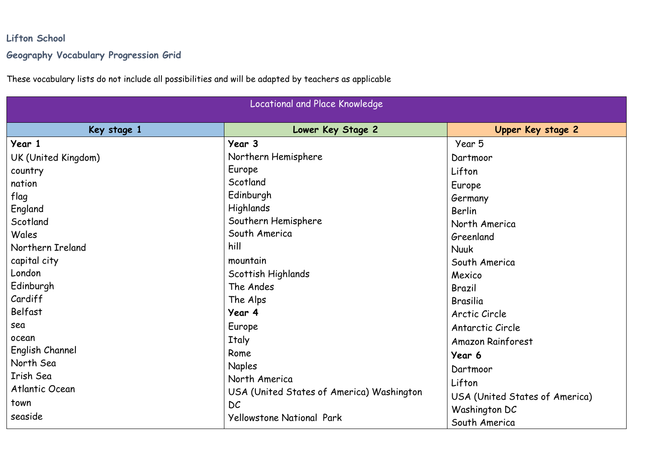## **Lifton School Geography Vocabulary Progression Grid**

These vocabulary lists do not include all possibilities and will be adapted by teachers as applicable

| Locational and Place Knowledge |                                           |                                |
|--------------------------------|-------------------------------------------|--------------------------------|
| Key stage 1                    | Lower Key Stage 2                         | Upper Key stage 2              |
| Year 1                         | Year 3                                    | Year 5                         |
| UK (United Kingdom)            | Northern Hemisphere                       | Dartmoor                       |
| country                        | Europe                                    | Lifton                         |
| nation                         | Scotland                                  | Europe                         |
| flag                           | Edinburgh                                 | Germany                        |
| England                        | <b>Highlands</b>                          | Berlin                         |
| Scotland                       | Southern Hemisphere                       | North America                  |
| Wales                          | South America                             | Greenland                      |
| Northern Ireland               | hill                                      | <b>Nuuk</b>                    |
| capital city                   | mountain                                  | South America                  |
| London                         | Scottish Highlands                        | Mexico                         |
| Edinburgh                      | The Andes                                 | Brazil                         |
| Cardiff                        | The Alps                                  | Brasilia                       |
| Belfast                        | Year 4                                    | Arctic Circle                  |
| sea                            | Europe                                    | Antarctic Circle               |
| ocean                          | <b>Italy</b>                              | <b>Amazon Rainforest</b>       |
| English Channel                | Rome                                      | Year 6                         |
| North Sea                      | <b>Naples</b>                             | Dartmoor                       |
| Irish Sea                      | North America                             | Lifton                         |
| Atlantic Ocean                 | USA (United States of America) Washington | USA (United States of America) |
| town                           | DC                                        | Washington DC                  |
| seaside                        | <b>Yellowstone National Park</b>          | South America                  |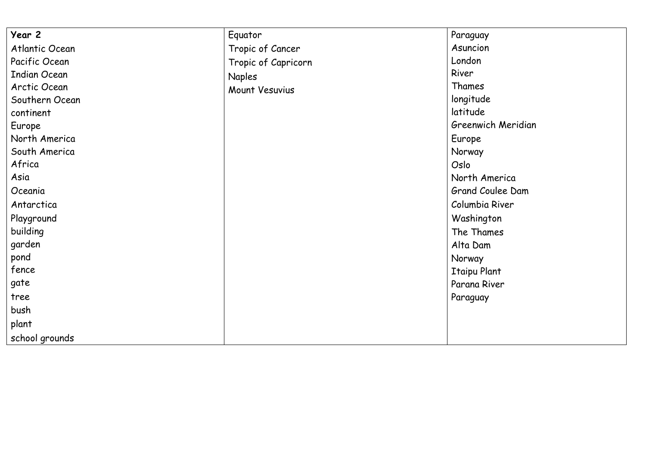| Year 2              | Equator             | Paraguay            |
|---------------------|---------------------|---------------------|
| Atlantic Ocean      | Tropic of Cancer    | Asuncion            |
| Pacific Ocean       | Tropic of Capricorn | London              |
| <b>Indian Ocean</b> | <b>Naples</b>       | River               |
| Arctic Ocean        | Mount Vesuvius      | Thames              |
| Southern Ocean      |                     | longitude           |
| continent           |                     | latitude            |
| Europe              |                     | Greenwich Meridian  |
| North America       |                     | Europe              |
| South America       |                     | Norway              |
| Africa              |                     | Oslo                |
| Asia                |                     | North America       |
| Oceania             |                     | Grand Coulee Dam    |
| Antarctica          |                     | Columbia River      |
| Playground          |                     | Washington          |
| building            |                     | The Thames          |
| garden              |                     | Alta Dam            |
| pond                |                     | Norway              |
| fence               |                     | <b>Itaipu Plant</b> |
| gate                |                     | Parana River        |
| tree                |                     | Paraguay            |
| bush                |                     |                     |
| plant               |                     |                     |
| school grounds      |                     |                     |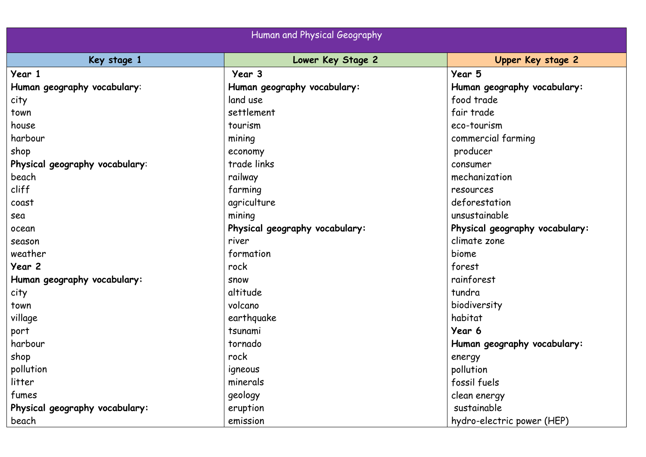| Human and Physical Geography   |                                |                                |
|--------------------------------|--------------------------------|--------------------------------|
| Key stage 1                    | Lower Key Stage 2              | Upper Key stage 2              |
| Year 1                         | Year 3                         | Year 5                         |
| Human geography vocabulary:    | Human geography vocabulary:    | Human geography vocabulary:    |
| city                           | land use                       | food trade                     |
| town                           | settlement                     | fair trade                     |
| house                          | tourism                        | eco-tourism                    |
| harbour                        | mining                         | commercial farming             |
| shop                           | economy                        | producer                       |
| Physical geography vocabulary: | trade links                    | consumer                       |
| beach                          | railway                        | mechanization                  |
| cliff                          | farming                        | resources                      |
| coast                          | agriculture                    | deforestation                  |
| sea                            | mining                         | unsustainable                  |
| ocean                          | Physical geography vocabulary: | Physical geography vocabulary: |
| season                         | river                          | climate zone                   |
| weather                        | formation                      | biome                          |
| Year 2                         | rock                           | forest                         |
| Human geography vocabulary:    | <b>SNOW</b>                    | rainforest                     |
| city                           | altitude                       | tundra                         |
| town                           | volcano                        | biodiversity                   |
| village                        | earthquake                     | habitat                        |
| port                           | tsunami                        | Year 6                         |
| harbour                        | tornado                        | Human geography vocabulary:    |
| shop                           | rock                           | energy                         |
| pollution                      | igneous                        | pollution                      |
| litter                         | minerals                       | fossil fuels                   |
| fumes                          | geology                        | clean energy                   |
| Physical geography vocabulary: | eruption                       | sustainable                    |
| beach                          | emission                       | hydro-electric power (HEP)     |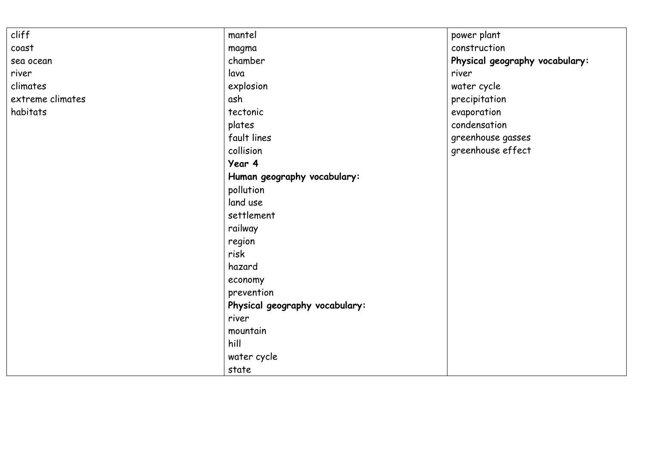| cliff            | mantel                         | power plant                    |
|------------------|--------------------------------|--------------------------------|
| coast            | magma                          | construction                   |
| sea ocean        | chamber                        | Physical geography vocabulary: |
| river            | lava                           | river                          |
| climates         | explosion<br>water cycle       |                                |
| extreme climates | ash<br>precipitation           |                                |
| habitats         | evaporation<br>tectonic        |                                |
|                  | plates                         | condensation                   |
|                  | fault lines                    | greenhouse gasses              |
|                  | collision                      | greenhouse effect              |
|                  | Year 4                         |                                |
|                  | Human geography vocabulary:    |                                |
|                  | pollution                      |                                |
|                  | land use                       |                                |
|                  | settlement                     |                                |
|                  | railway                        |                                |
|                  | region                         |                                |
|                  | risk                           |                                |
|                  | hazard                         |                                |
|                  | economy                        |                                |
|                  | prevention                     |                                |
|                  | Physical geography vocabulary: |                                |
|                  | river                          |                                |
|                  | mountain                       |                                |
|                  | hill                           |                                |
|                  | water cycle                    |                                |
|                  | state                          |                                |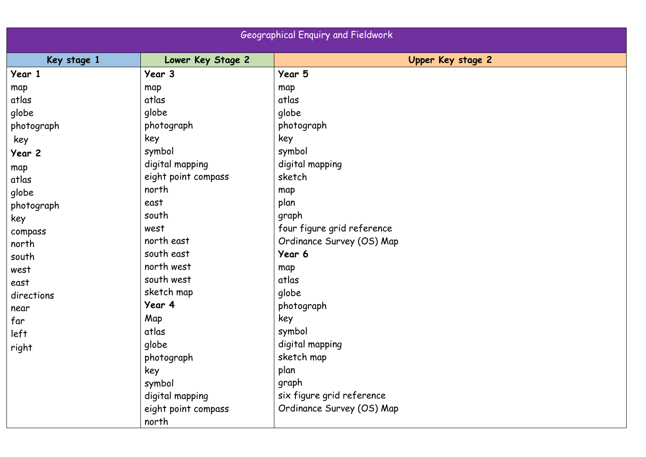| <b>Geographical Enquiry and Fieldwork</b> |                     |                            |
|-------------------------------------------|---------------------|----------------------------|
| Key stage 1                               | Lower Key Stage 2   | Upper Key stage 2          |
| Year 1                                    | Year 3              | Year 5                     |
| map                                       | map                 | map                        |
| atlas                                     | atlas               | atlas                      |
| globe                                     | globe               | globe                      |
| photograph                                | photograph          | photograph                 |
| key                                       | key                 | key                        |
| Year 2                                    | symbol              | symbol                     |
| map                                       | digital mapping     | digital mapping            |
| atlas                                     | eight point compass | sketch                     |
| globe                                     | north               | map                        |
| photograph                                | east                | plan                       |
| key                                       | south               | graph                      |
| compass                                   | west                | four figure grid reference |
| north                                     | north east          | Ordinance Survey (OS) Map  |
| south                                     | south east          | Year 6                     |
| west                                      | north west          | map                        |
| east                                      | south west          | atlas                      |
| directions                                | sketch map          | globe                      |
| near                                      | Year 4              | photograph                 |
| far                                       | Map                 | key                        |
| left                                      | atlas               | symbol                     |
| right                                     | globe               | digital mapping            |
|                                           | photograph          | sketch map                 |
|                                           | key                 | plan                       |
|                                           | symbol              | graph                      |
|                                           | digital mapping     | six figure grid reference  |
|                                           | eight point compass | Ordinance Survey (OS) Map  |
|                                           | north               |                            |